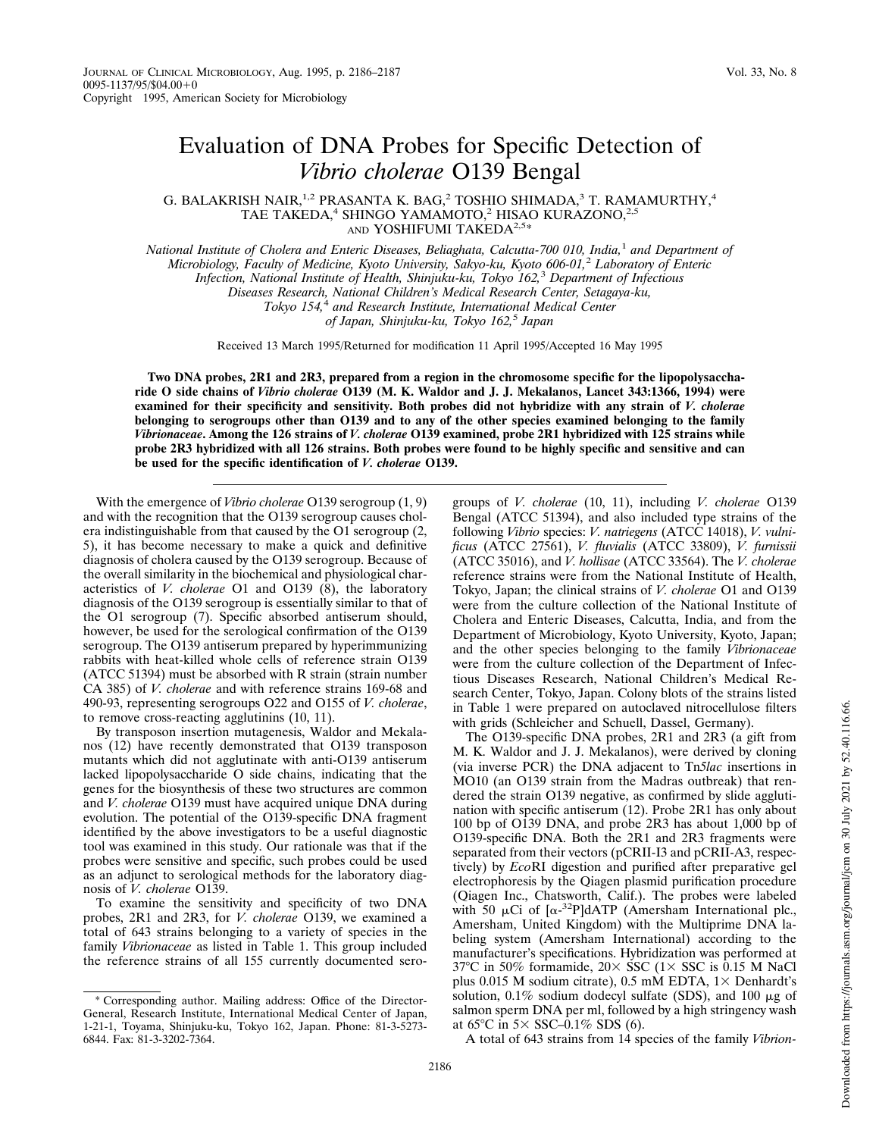## Evaluation of DNA Probes for Specific Detection of *Vibrio cholerae* O139 Bengal

G. BALAKRISH NAIR,<sup>1,2</sup> PRASANTA K. BAG,<sup>2</sup> TOSHIO SHIMADA,<sup>3</sup> T. RAMAMURTHY,<sup>4</sup> TAE TAKEDA,<sup>4</sup> SHINGO YAMAMOTO,<sup>2</sup> HISAO KURAZONO,<sup>2,5</sup> AND YOSHIFUMI TAKEDA<sup>2,5\*</sup>

*National Institute of Cholera and Enteric Diseases, Beliaghata, Calcutta-700 010, India,*<sup>1</sup> *and Department of Microbiology, Faculty of Medicine, Kyoto University, Sakyo-ku, Kyoto 606-01,*<sup>2</sup> *Laboratory of Enteric Infection, National Institute of Health, Shinjuku-ku, Tokyo 162,*<sup>3</sup> *Department of Infectious Diseases Research, National Children's Medical Research Center, Setagaya-ku, Tokyo 154,*<sup>4</sup> *and Research Institute, International Medical Center of Japan, Shinjuku-ku, Tokyo 162,*<sup>5</sup> *Japan*

Received 13 March 1995/Returned for modification 11 April 1995/Accepted 16 May 1995

**Two DNA probes, 2R1 and 2R3, prepared from a region in the chromosome specific for the lipopolysaccharide O side chains of** *Vibrio cholerae* **O139 (M. K. Waldor and J. J. Mekalanos, Lancet 343:1366, 1994) were examined for their specificity and sensitivity. Both probes did not hybridize with any strain of** *V. cholerae* **belonging to serogroups other than O139 and to any of the other species examined belonging to the family** *Vibrionaceae***. Among the 126 strains of** *V. cholerae* **O139 examined, probe 2R1 hybridized with 125 strains while probe 2R3 hybridized with all 126 strains. Both probes were found to be highly specific and sensitive and can be used for the specific identification of** *V. cholerae* **O139.**

With the emergence of *Vibrio cholerae* O139 serogroup (1, 9) and with the recognition that the O139 serogroup causes cholera indistinguishable from that caused by the O1 serogroup (2, 5), it has become necessary to make a quick and definitive diagnosis of cholera caused by the O139 serogroup. Because of the overall similarity in the biochemical and physiological characteristics of *V. cholerae* O1 and O139 (8), the laboratory diagnosis of the O139 serogroup is essentially similar to that of the O1 serogroup (7). Specific absorbed antiserum should, however, be used for the serological confirmation of the O139 serogroup. The O139 antiserum prepared by hyperimmunizing rabbits with heat-killed whole cells of reference strain O139 (ATCC 51394) must be absorbed with R strain (strain number CA 385) of *V. cholerae* and with reference strains 169-68 and 490-93, representing serogroups O22 and O155 of *V. cholerae*, to remove cross-reacting agglutinins (10, 11).

By transposon insertion mutagenesis, Waldor and Mekalanos (12) have recently demonstrated that O139 transposon mutants which did not agglutinate with anti-O139 antiserum lacked lipopolysaccharide O side chains, indicating that the genes for the biosynthesis of these two structures are common and *V. cholerae* O139 must have acquired unique DNA during evolution. The potential of the O139-specific DNA fragment identified by the above investigators to be a useful diagnostic tool was examined in this study. Our rationale was that if the probes were sensitive and specific, such probes could be used as an adjunct to serological methods for the laboratory diagnosis of *V. cholerae* O139.

To examine the sensitivity and specificity of two DNA probes, 2R1 and 2R3, for *V. cholerae* O139, we examined a total of 643 strains belonging to a variety of species in the family *Vibrionaceae* as listed in Table 1. This group included the reference strains of all 155 currently documented sero-

groups of *V. cholerae* (10, 11), including *V. cholerae* O139 Bengal (ATCC 51394), and also included type strains of the following *Vibrio* species: *V. natriegens* (ATCC 14018), *V. vulnificus* (ATCC 27561), *V. fluvialis* (ATCC 33809), *V. furnissii* (ATCC 35016), and *V. hollisae* (ATCC 33564). The *V. cholerae* reference strains were from the National Institute of Health, Tokyo, Japan; the clinical strains of *V. cholerae* O1 and O139 were from the culture collection of the National Institute of Cholera and Enteric Diseases, Calcutta, India, and from the Department of Microbiology, Kyoto University, Kyoto, Japan; and the other species belonging to the family *Vibrionaceae* were from the culture collection of the Department of Infectious Diseases Research, National Children's Medical Research Center, Tokyo, Japan. Colony blots of the strains listed in Table 1 were prepared on autoclaved nitrocellulose filters with grids (Schleicher and Schuell, Dassel, Germany).

The O139-specific DNA probes, 2R1 and 2R3 (a gift from M. K. Waldor and J. J. Mekalanos), were derived by cloning (via inverse PCR) the DNA adjacent to Tn*5lac* insertions in MO10 (an O139 strain from the Madras outbreak) that rendered the strain O139 negative, as confirmed by slide agglutination with specific antiserum (12). Probe 2R1 has only about 100 bp of O139 DNA, and probe 2R3 has about 1,000 bp of O139-specific DNA. Both the 2R1 and 2R3 fragments were separated from their vectors (pCRII-I3 and pCRII-A3, respectively) by *Eco*RI digestion and purified after preparative gel electrophoresis by the Qiagen plasmid purification procedure (Qiagen Inc., Chatsworth, Calif.). The probes were labeled with 50  $\mu$ Ci of  $\left[\alpha^{-32}P\right]$ dATP (Amersham International plc., Amersham, United Kingdom) with the Multiprime DNA labeling system (Amersham International) according to the manufacturer's specifications. Hybridization was performed at 37°C in 50% formamide,  $20 \times$  SSC (1 $\times$  SSC is 0.15 M NaCl plus 0.015 M sodium citrate), 0.5 mM EDTA,  $1 \times$  Denhardt's solution,  $0.1\%$  sodium dodecyl sulfate (SDS), and 100  $\mu$ g of salmon sperm DNA per ml, followed by a high stringency wash at 65 $\degree$ C in 5 $\times$  SSC–0.1% SDS (6).

A total of 643 strains from 14 species of the family *Vibrion-*

<sup>\*</sup> Corresponding author. Mailing address: Office of the Director-General, Research Institute, International Medical Center of Japan, 1-21-1, Toyama, Shinjuku-ku, Tokyo 162, Japan. Phone: 81-3-5273- 6844. Fax: 81-3-3202-7364.